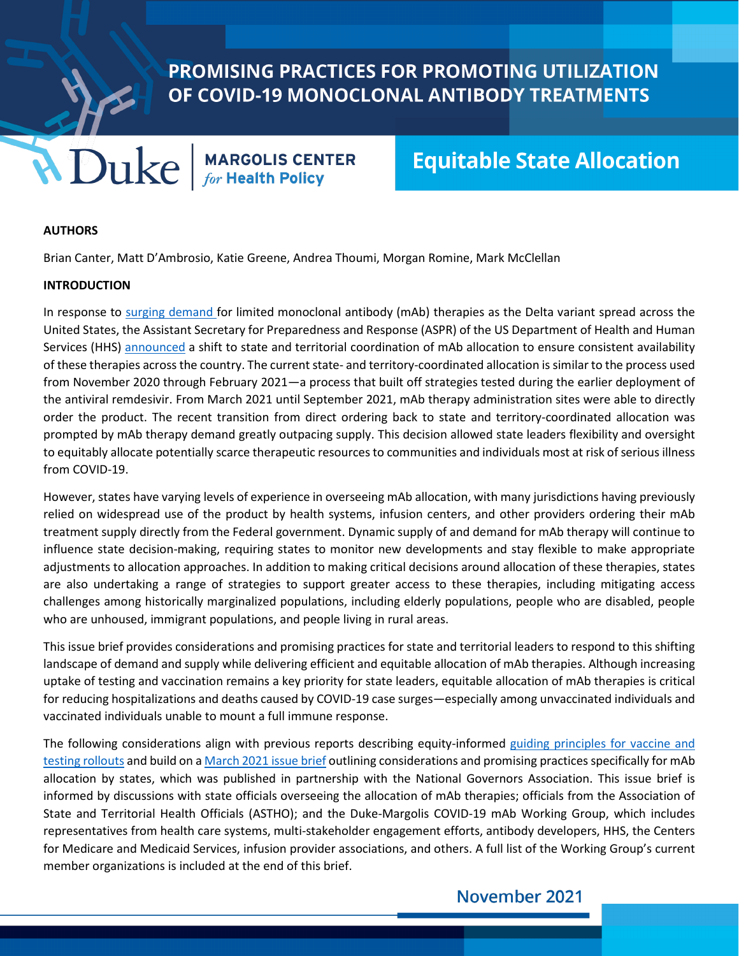PROMISING PRACTICES FOR PROMOTING UTILIZATION OF COVID-19 MONOCLONAL ANTIBODY TREATMENTS

**MDUKE** | MARGOLIS CENTER

# **Equitable State Allocation**

#### **AUTHORS**

Brian Canter, Matt D'Ambrosio, Katie Greene, Andrea Thoumi, Morgan Romine, Mark McClellan

#### **INTRODUCTION**

In response to [surging demand f](https://www.bloomberg.com/news/articles/2021-08-16/once-rare-antibody-cocktails-to-treat-covid-take-off-amid-delta)or limited monoclonal antibody (mAb) therapies as the Delta variant spread across the United States, the Assistant Secretary for Preparedness and Response (ASPR) of the US Department of Health and Human Services (HHS) [announced](https://www.phe.gov/emergency/events/COVID19/investigation-MCM/Bamlanivimab-etesevimab/Pages/Update-13Sept21.aspx) a shift to state and territorial coordination of mAb allocation to ensure consistent availability of these therapies across the country. The current state- and territory-coordinated allocation is similar to the process used from November 2020 through February 2021—a process that built off strategies tested during the earlier deployment of the antiviral remdesivir. From March 2021 until September 2021, mAb therapy administration sites were able to directly order the product. The recent transition from direct ordering back to state and territory-coordinated allocation was prompted by mAb therapy demand greatly outpacing supply. This decision allowed state leaders flexibility and oversight to equitably allocate potentially scarce therapeutic resources to communities and individuals most at risk of serious illness from COVID-19.

However, states have varying levels of experience in overseeing mAb allocation, with many jurisdictions having previously relied on widespread use of the product by health systems, infusion centers, and other providers ordering their mAb treatment supply directly from the Federal government. Dynamic supply of and demand for mAb therapy will continue to influence state decision-making, requiring states to monitor new developments and stay flexible to make appropriate adjustments to allocation approaches. In addition to making critical decisions around allocation of these therapies, states are also undertaking a range of strategies to support greater access to these therapies, including mitigating access challenges among historically marginalized populations, including elderly populations, people who are disabled, people who are unhoused, immigrant populations, and people living in rural areas.

This issue brief provides considerations and promising practices for state and territorial leaders to respond to this shifting landscape of demand and supply while delivering efficient and equitable allocation of mAb therapies. Although increasing uptake of testing and vaccination remains a key priority for state leaders, equitable allocation of mAb therapies is critical for reducing hospitalizations and deaths caused by COVID-19 case surges—especially among unvaccinated individuals and vaccinated individuals unable to mount a full immune response.

The following considerations align with previous reports describing equity-informed guiding principles for vaccine and [testing rollouts](https://healthpolicy.duke.edu/sites/default/files/2021-09/Hyperlocal%20COVID%20Testing%20Vaccination_1.pdf) and build on [a March 2021 issue brief](https://www.nga.org/center/publications/increasing-utilization-monoclonal-antibodies/) outlining considerations and promising practices specifically for mAb allocation by states, which was published in partnership with the National Governors Association. This issue brief is informed by discussions with state officials overseeing the allocation of mAb therapies; officials from the Association of State and Territorial Health Officials (ASTHO); and the Duke-Margolis COVID-19 mAb Working Group, which includes representatives from health care systems, multi-stakeholder engagement efforts, antibody developers, HHS, the Centers for Medicare and Medicaid Services, infusion provider associations, and others. A full list of the Working Group's current member organizations is included at the end of this brief.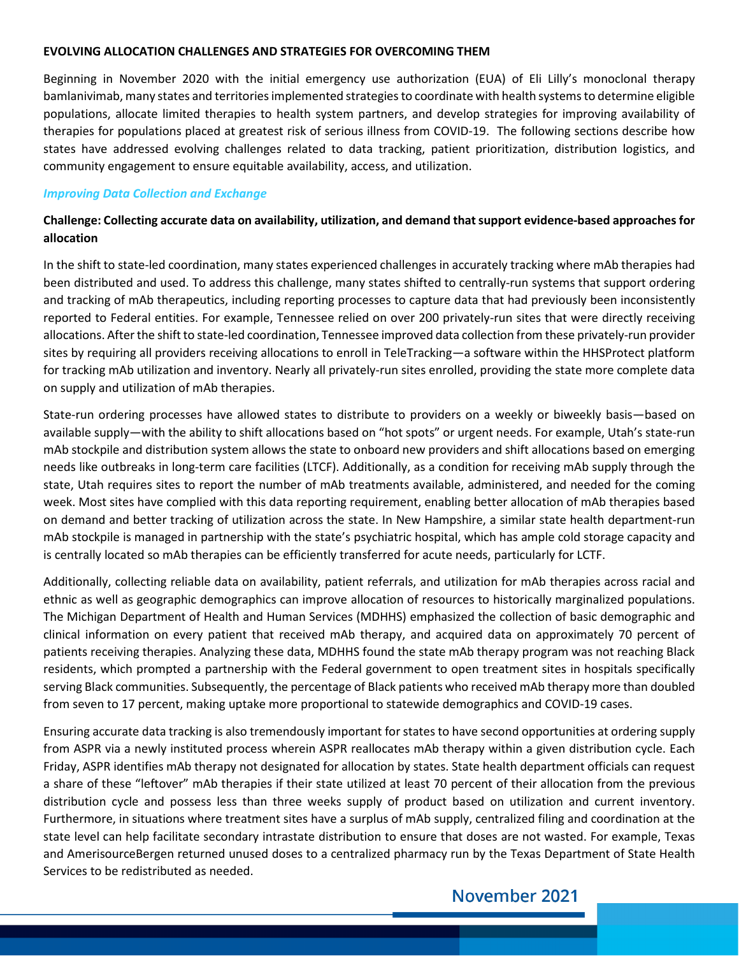#### **EVOLVING ALLOCATION CHALLENGES AND STRATEGIES FOR OVERCOMING THEM**

Beginning in November 2020 with the initial emergency use authorization (EUA) of Eli Lilly's monoclonal therapy bamlanivimab, many states and territories implemented strategies to coordinate with health systems to determine eligible populations, allocate limited therapies to health system partners, and develop strategies for improving availability of therapies for populations placed at greatest risk of serious illness from COVID-19. The following sections describe how states have addressed evolving challenges related to data tracking, patient prioritization, distribution logistics, and community engagement to ensure equitable availability, access, and utilization.

#### *Improving Data Collection and Exchange*

# **Challenge: Collecting accurate data on availability, utilization, and demand that support evidence-based approaches for allocation**

In the shift to state-led coordination, many states experienced challenges in accurately tracking where mAb therapies had been distributed and used. To address this challenge, many states shifted to centrally-run systems that support ordering and tracking of mAb therapeutics, including reporting processes to capture data that had previously been inconsistently reported to Federal entities. For example, Tennessee relied on over 200 privately-run sites that were directly receiving allocations. After the shift to state-led coordination, Tennessee improved data collection from these privately-run provider sites by requiring all providers receiving allocations to enroll in TeleTracking—a software within the HHSProtect platform for tracking mAb utilization and inventory. Nearly all privately-run sites enrolled, providing the state more complete data on supply and utilization of mAb therapies.

State-run ordering processes have allowed states to distribute to providers on a weekly or biweekly basis—based on available supply—with the ability to shift allocations based on "hot spots" or urgent needs. For example, Utah's state-run mAb stockpile and distribution system allows the state to onboard new providers and shift allocations based on emerging needs like outbreaks in long-term care facilities (LTCF). Additionally, as a condition for receiving mAb supply through the state, Utah requires sites to report the number of mAb treatments available, administered, and needed for the coming week. Most sites have complied with this data reporting requirement, enabling better allocation of mAb therapies based on demand and better tracking of utilization across the state. In New Hampshire, a similar state health department-run mAb stockpile is managed in partnership with the state's psychiatric hospital, which has ample cold storage capacity and is centrally located so mAb therapies can be efficiently transferred for acute needs, particularly for LCTF.

Additionally, collecting reliable data on availability, patient referrals, and utilization for mAb therapies across racial and ethnic as well as geographic demographics can improve allocation of resources to historically marginalized populations. The Michigan Department of Health and Human Services (MDHHS) emphasized the collection of basic demographic and clinical information on every patient that received mAb therapy, and acquired data on approximately 70 percent of patients receiving therapies. Analyzing these data, MDHHS found the state mAb therapy program was not reaching Black residents, which prompted a partnership with the Federal government to open treatment sites in hospitals specifically serving Black communities. Subsequently, the percentage of Black patients who received mAb therapy more than doubled from seven to 17 percent, making uptake more proportional to statewide demographics and COVID-19 cases.

Ensuring accurate data tracking is also tremendously important for states to have second opportunities at ordering supply from ASPR via a newly instituted process wherein ASPR reallocates mAb therapy within a given distribution cycle. Each Friday, ASPR identifies mAb therapy not designated for allocation by states. State health department officials can request a share of these "leftover" mAb therapies if their state utilized at least 70 percent of their allocation from the previous distribution cycle and possess less than three weeks supply of product based on utilization and current inventory. Furthermore, in situations where treatment sites have a surplus of mAb supply, centralized filing and coordination at the state level can help facilitate secondary intrastate distribution to ensure that doses are not wasted. For example, Texas and AmerisourceBergen returned unused doses to a centralized pharmacy run by the Texas Department of State Health Services to be redistributed as needed.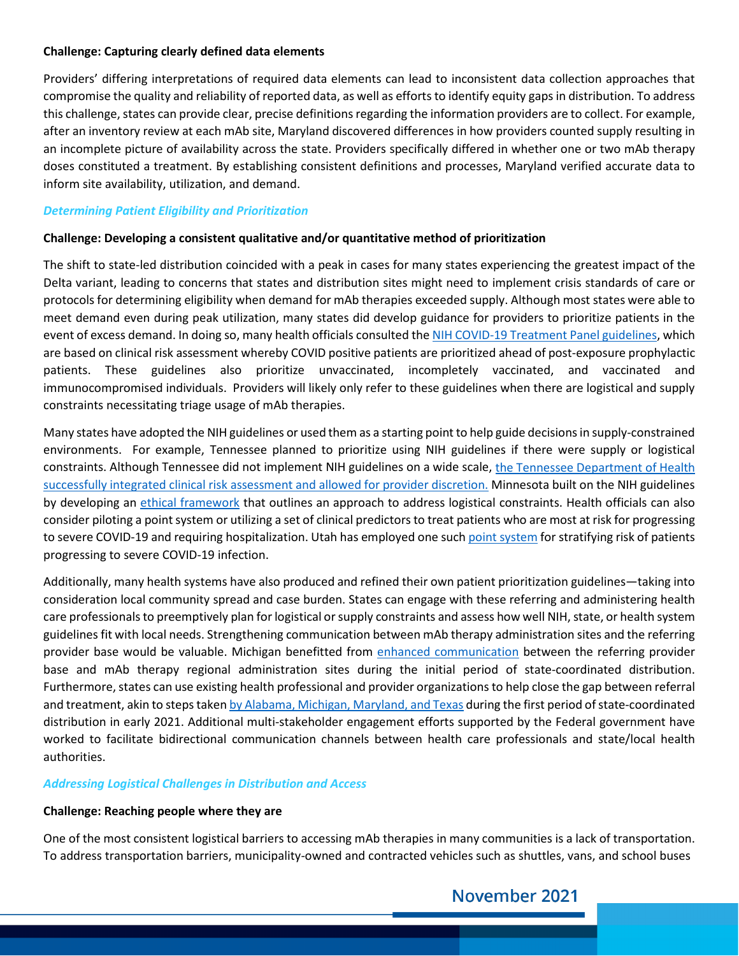## **Challenge: Capturing clearly defined data elements**

Providers' differing interpretations of required data elements can lead to inconsistent data collection approaches that compromise the quality and reliability of reported data, as well as efforts to identify equity gaps in distribution. To address this challenge, states can provide clear, precise definitions regarding the information providers are to collect. For example, after an inventory review at each mAb site, Maryland discovered differences in how providers counted supply resulting in an incomplete picture of availability across the state. Providers specifically differed in whether one or two mAb therapy doses constituted a treatment. By establishing consistent definitions and processes, Maryland verified accurate data to inform site availability, utilization, and demand.

## *Determining Patient Eligibility and Prioritization*

## **Challenge: Developing a consistent qualitative and/or quantitative method of prioritization**

The shift to state-led distribution coincided with a peak in cases for many states experiencing the greatest impact of the Delta variant, leading to concerns that states and distribution sites might need to implement crisis standards of care or protocols for determining eligibility when demand for mAb therapies exceeded supply. Although most states were able to meet demand even during peak utilization, many states did develop guidance for providers to prioritize patients in the event of excess demand. In doing so, many health officials consulted th[e NIH COVID-19 Treatment Panel guidelines,](https://www.covid19treatmentguidelines.nih.gov/therapies/updated-statement-on-the-prioritization-of-anti-sars-cov-2-mabs/) which are based on clinical risk assessment whereby COVID positive patients are prioritized ahead of post-exposure prophylactic patients. These guidelines also prioritize unvaccinated, incompletely vaccinated, and vaccinated and immunocompromised individuals. Providers will likely only refer to these guidelines when there are logistical and supply constraints necessitating triage usage of mAb therapies.

Many states have adopted the NIH guidelines or used them as a starting point to help guide decisions in supply-constrained environments. For example, Tennessee planned to prioritize using NIH guidelines if there were supply or logistical constraints. Although Tennessee did not implement NIH guidelines on a wide scale, [the Tennessee Department of Health](https://www.wjhl.com/local-coronavirus-coverage/tennessee-releases-guidance-for-monoclonal-antibody-treatment/)  [successfully integrated clinical risk assessment and allowed for provider discretion.](https://www.wjhl.com/local-coronavirus-coverage/tennessee-releases-guidance-for-monoclonal-antibody-treatment/) Minnesota built on the NIH guidelines by developing an [ethical framework](https://www.health.state.mn.us/diseases/coronavirus/hcp/mabethical.pdf) that outlines an approach to address logistical constraints. Health officials can also consider piloting a point system or utilizing a set of clinical predictors to treat patients who are most at risk for progressing to severe COVID-19 and requiring hospitalization. Utah has employed one suc[h point system](https://coronavirus.utah.gov/noveltherapeutics/) for stratifying risk of patients progressing to severe COVID-19 infection.

Additionally, many health systems have also produced and refined their own patient prioritization guidelines—taking into consideration local community spread and case burden. States can engage with these referring and administering health care professionals to preemptively plan for logistical or supply constraints and assess how well NIH, state, or health system guidelines fit with local needs. Strengthening communication between mAb therapy administration sites and the referring provider base would be valuable. Michigan benefitted from [enhanced communication](https://healthpolicy.duke.edu/sites/default/files/2021-03/NGA_StateStrategies_COVID_Monoclonal_FINAL.pdf) between the referring provider base and mAb therapy regional administration sites during the initial period of state-coordinated distribution. Furthermore, states can use existing health professional and provider organizations to help close the gap between referral and treatment, akin to steps take[n by Alabama, Michigan, Maryland, and Texas](https://healthpolicy.duke.edu/sites/default/files/2021-03/NGA_StateStrategies_COVID_Monoclonal_FINAL.pdf) during the first period of state-coordinated distribution in early 2021. Additional multi-stakeholder engagement efforts supported by the Federal government have worked to facilitate bidirectional communication channels between health care professionals and state/local health authorities.

## *Addressing Logistical Challenges in Distribution and Access*

#### **Challenge: Reaching people where they are**

One of the most consistent logistical barriers to accessing mAb therapies in many communities is a lack of transportation. To address transportation barriers, municipality-owned and contracted vehicles such as shuttles, vans, and school buses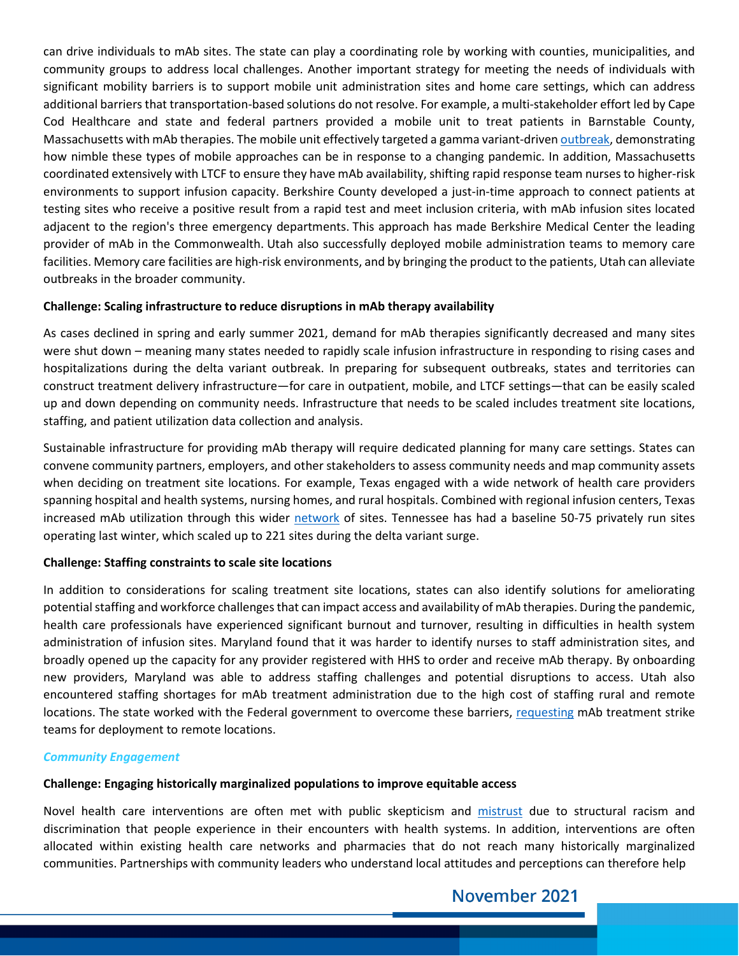can drive individuals to mAb sites. The state can play a coordinating role by working with counties, municipalities, and community groups to address local challenges. Another important strategy for meeting the needs of individuals with significant mobility barriers is to support mobile unit administration sites and home care settings, which can address additional barriers that transportation-based solutions do not resolve. For example, a multi-stakeholder effort led by Cape Cod Healthcare and state and federal partners provided a mobile unit to treat patients in Barnstable County, Massachusetts with mAb therapies. The mobile unit effectively targeted a gamma variant-drive[n outbreak,](https://www.capecodtimes.com/story/news/2021/05/29/new-cape-cod-treatment-unit-targets-those-most-risk-covid-19/7460118002/) demonstrating how nimble these types of mobile approaches can be in response to a changing pandemic. In addition, Massachusetts coordinated extensively with LTCF to ensure they have mAb availability, shifting rapid response team nurses to higher-risk environments to support infusion capacity. Berkshire County developed a just-in-time approach to connect patients at testing sites who receive a positive result from a rapid test and meet inclusion criteria, with mAb infusion sites located adjacent to the region's three emergency departments. This approach has made Berkshire Medical Center the leading provider of mAb in the Commonwealth. Utah also successfully deployed mobile administration teams to memory care facilities. Memory care facilities are high-risk environments, and by bringing the product to the patients, Utah can alleviate outbreaks in the broader community.

## **Challenge: Scaling infrastructure to reduce disruptions in mAb therapy availability**

As cases declined in spring and early summer 2021, demand for mAb therapies significantly decreased and many sites were shut down – meaning many states needed to rapidly scale infusion infrastructure in responding to rising cases and hospitalizations during the delta variant outbreak. In preparing for subsequent outbreaks, states and territories can construct treatment delivery infrastructure—for care in outpatient, mobile, and LTCF settings—that can be easily scaled up and down depending on community needs. Infrastructure that needs to be scaled includes treatment site locations, staffing, and patient utilization data collection and analysis.

Sustainable infrastructure for providing mAb therapy will require dedicated planning for many care settings. States can convene community partners, employers, and other stakeholders to assess community needs and map community assets when deciding on treatment site locations. For example, Texas engaged with a wide network of health care providers spanning hospital and health systems, nursing homes, and rural hospitals. Combined with regional infusion centers, Texas increased mAb utilization through this wider [network](https://tdem.maps.arcgis.com/apps/webappviewer/index.html?id=993e2c2079f8487cafcec74e00e84991) of sites. Tennessee has had a baseline 50-75 privately run sites operating last winter, which scaled up to 221 sites during the delta variant surge.

## **Challenge: Staffing constraints to scale site locations**

In addition to considerations for scaling treatment site locations, states can also identify solutions for ameliorating potential staffing and workforce challenges that can impact access and availability of mAb therapies. During the pandemic, health care professionals have experienced significant burnout and turnover, resulting in difficulties in health system administration of infusion sites. Maryland found that it was harder to identify nurses to staff administration sites, and broadly opened up the capacity for any provider registered with HHS to order and receive mAb therapy. By onboarding new providers, Maryland was able to address staffing challenges and potential disruptions to access. Utah also encountered staffing shortages for mAb treatment administration due to the high cost of staffing rural and remote locations. The state worked with the Federal government to overcome these barriers, [requesting](https://www.stgeorgeutah.com/news/archive/2021/11/03/cdr-military-helping-to-provide-staffing-relief-for-local-covid-19-treatment-under-12-vaccines-approved/) mAb treatment strike teams for deployment to remote locations.

## *Community Engagement*

## **Challenge: Engaging historically marginalized populations to improve equitable access**

Novel health care interventions are often met with public skepticism and [mistrust](https://www.commonwealthfund.org/publications/newsletter-article/2021/jan/medical-mistrust-among-black-americans) due to structural racism and discrimination that people experience in their encounters with health systems. In addition, interventions are often allocated within existing health care networks and pharmacies that do not reach many historically marginalized communities. Partnerships with community leaders who understand local attitudes and perceptions can therefore help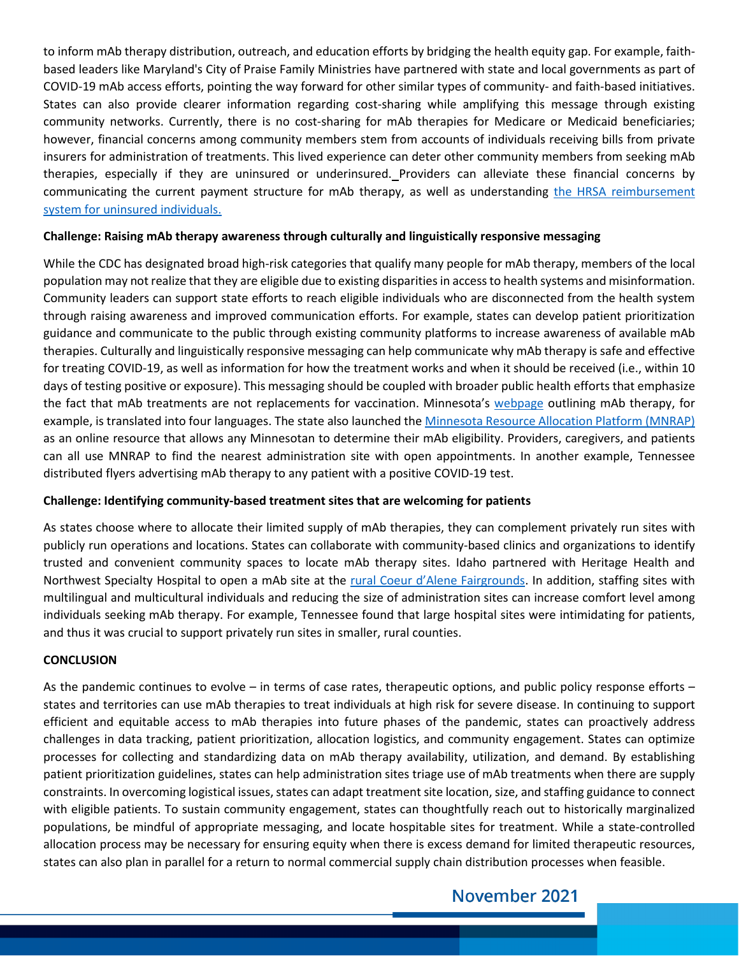to inform mAb therapy distribution, outreach, and education efforts by bridging the health equity gap. For example, faithbased leaders like Maryland's City of Praise Family Ministries have partnered with state and local governments as part of COVID-19 mAb access efforts, pointing the way forward for other similar types of community- and faith-based initiatives. States can also provide clearer information regarding cost-sharing while amplifying this message through existing community networks. Currently, there is no cost-sharing for mAb therapies for Medicare or Medicaid beneficiaries; however, financial concerns among community members stem from accounts of individuals receiving bills from private insurers for administration of treatments. This lived experience can deter other community members from seeking mAb therapies, especially if they are uninsured or underinsured. Providers can alleviate these financial concerns by communicating the current payment structure for mAb therapy, as well as understanding [the HRSA reimbursement](https://coviduninsuredclaim.linkhealth.com/claims-and-reimbursement.html)  [system for uninsured individuals.](https://coviduninsuredclaim.linkhealth.com/claims-and-reimbursement.html)

## **Challenge: Raising mAb therapy awareness through culturally and linguistically responsive messaging**

While the CDC has designated broad high-risk categories that qualify many people for mAb therapy, members of the local population may not realize that they are eligible due to existing disparities in access to health systems and misinformation. Community leaders can support state efforts to reach eligible individuals who are disconnected from the health system through raising awareness and improved communication efforts. For example, states can develop patient prioritization guidance and communicate to the public through existing community platforms to increase awareness of available mAb therapies. Culturally and linguistically responsive messaging can help communicate why mAb therapy is safe and effective for treating COVID-19, as well as information for how the treatment works and when it should be received (i.e., within 10 days of testing positive or exposure). This messaging should be coupled with broader public health efforts that emphasize the fact that mAb treatments are not replacements for vaccination. Minnesota's [webpage](https://www.health.state.mn.us/diseases/coronavirus/meds.html) outlining mAb therapy, for example, is translated into four languages. The state also launched the [Minnesota Resource Allocation Platform \(MNRAP\)](https://www.health.state.mn.us/diseases/coronavirus/mnrappeople.html) as an online resource that allows any Minnesotan to determine their mAb eligibility. Providers, caregivers, and patients can all use MNRAP to find the nearest administration site with open appointments. In another example, Tennessee distributed flyers advertising mAb therapy to any patient with a positive COVID-19 test.

## **Challenge: Identifying community-based treatment sites that are welcoming for patients**

As states choose where to allocate their limited supply of mAb therapies, they can complement privately run sites with publicly run operations and locations. States can collaborate with community-based clinics and organizations to identify trusted and convenient community spaces to locate mAb therapy sites. Idaho partnered with Heritage Health and Northwest Specialty Hospital to open a mAb site at the [rural Coeur d'Alene Fairgrounds.](https://gov.idaho.gov/pressrelease/monoclonal-antibody-treatments-save-lives-reduce-hospitalizations-but-not-meant-as-alternative-to-covid-19-vaccine/) In addition, staffing sites with multilingual and multicultural individuals and reducing the size of administration sites can increase comfort level among individuals seeking mAb therapy. For example, Tennessee found that large hospital sites were intimidating for patients, and thus it was crucial to support privately run sites in smaller, rural counties.

#### **CONCLUSION**

As the pandemic continues to evolve – in terms of case rates, therapeutic options, and public policy response efforts – states and territories can use mAb therapies to treat individuals at high risk for severe disease. In continuing to support efficient and equitable access to mAb therapies into future phases of the pandemic, states can proactively address challenges in data tracking, patient prioritization, allocation logistics, and community engagement. States can optimize processes for collecting and standardizing data on mAb therapy availability, utilization, and demand. By establishing patient prioritization guidelines, states can help administration sites triage use of mAb treatments when there are supply constraints. In overcoming logistical issues, states can adapt treatment site location, size, and staffing guidance to connect with eligible patients. To sustain community engagement, states can thoughtfully reach out to historically marginalized populations, be mindful of appropriate messaging, and locate hospitable sites for treatment. While a state-controlled allocation process may be necessary for ensuring equity when there is excess demand for limited therapeutic resources, states can also plan in parallel for a return to normal commercial supply chain distribution processes when feasible.